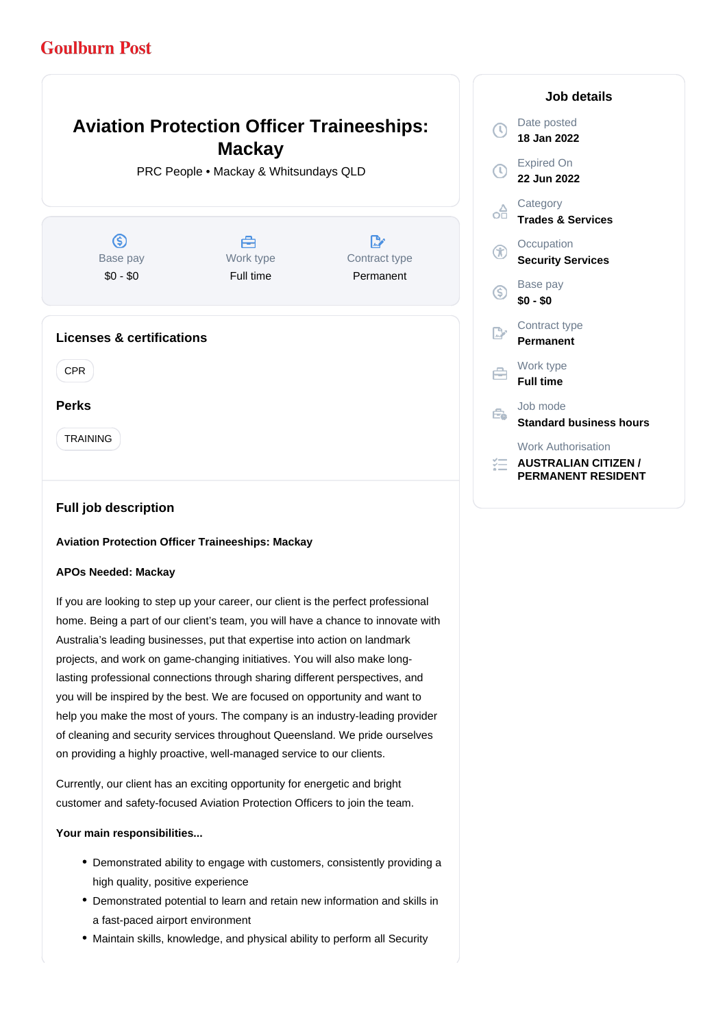# **Goulburn Post**

#### **Aviation Protection Officer Traineeships:** Date posted Œ **18 Jan 2022 Mackay** Expired On PRC People • Mackay & Whitsundays QLD **22 Jun 2022 Category** œ **Trades & Services**  $\circ$ A D, **Occupation** Base pay Work type Contract type **Security Services** \$0 - \$0 Full time Permanent Base pay G) **\$0 - \$0** Contract type P. **Licenses & certifications Permanent** Work type CPR 户 **Full time Perks** Job mode Ê. **Standard business hours** TRAINING Work Authorisation *<del>E</del>* AUSTRALIAN CITIZEN /

**Job details**

**PERMANENT RESIDENT**

## **Full job description**

### **Aviation Protection Officer Traineeships: Mackay**

#### **APOs Needed: Mackay**

If you are looking to step up your career, our client is the perfect professional home. Being a part of our client's team, you will have a chance to innovate with Australia's leading businesses, put that expertise into action on landmark projects, and work on game-changing initiatives. You will also make longlasting professional connections through sharing different perspectives, and you will be inspired by the best. We are focused on opportunity and want to help you make the most of yours. The company is an industry-leading provider of cleaning and security services throughout Queensland. We pride ourselves on providing a highly proactive, well-managed service to our clients.

Currently, our client has an exciting opportunity for energetic and bright customer and safety-focused Aviation Protection Officers to join the team.

#### **Your main responsibilities...**

- Demonstrated ability to engage with customers, consistently providing a high quality, positive experience
- Demonstrated potential to learn and retain new information and skills in a fast-paced airport environment
- Maintain skills, knowledge, and physical ability to perform all Security